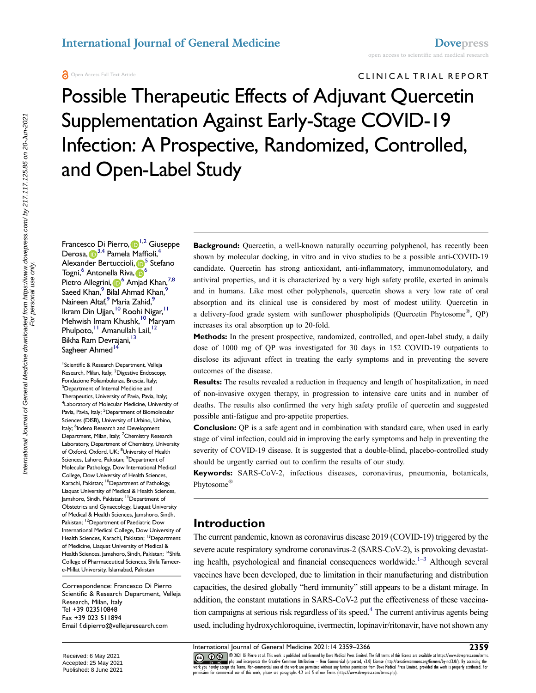CLINIC AL TRIAL REPORT

Possible Therapeutic Effects of Adjuvant Quercetin Supplementation Against Early-Stage COVID-19 Infection: A Prospective, Randomized, Controlled, and Open-Label Study

Francesco Di Pierro, D<sup>[1,](#page-0-0)[2](#page-0-1)</sup> Giuseppe Derosa[,](http://orcid.org/0000-0003-3573-4760) **D**<sup>[3](#page-0-2),4</sup> Pamela Maffioli,<sup>4</sup> Alexander Bertuccioli, D<sup>[5](#page-0-4)</sup> Stefano Togni,<sup>[6](#page-0-5)</sup> Antonella Riva, **19**<sup>6</sup> Pietro Allegrini, <sup>6</sup> Amjad Khan,<sup>[7](#page-0-6),8</sup> Saeed Khan,<sup>9</sup> Bilal Ahmad Khan,<sup>9</sup> Naireen Altaf,<sup>[9](#page-0-8)</sup> Maria Zahid,<sup>9</sup> Ikram Din Ujjan, <sup>10</sup> Roohi Nigar, <sup>[11](#page-0-10)</sup> Mehwish Imam Khushk,<sup>10</sup> Maryam Phulpoto,<sup>[11](#page-0-10)</sup> Amanullah Lail,<sup>12</sup> Bikha Ram Devrajani, <sup>13</sup> Sagheer Ahmed<sup>14</sup>

<span id="page-0-8"></span><span id="page-0-7"></span><span id="page-0-6"></span><span id="page-0-5"></span><span id="page-0-4"></span><span id="page-0-3"></span><span id="page-0-2"></span><span id="page-0-1"></span><span id="page-0-0"></span><sup>1</sup> Scientific & Research Department, Velleja Research, Milan, Italy; <sup>2</sup>Digestive Endoscopy, Fondazione Poliambulanza, Brescia, Italy; 3 <sup>3</sup> Department of Internal Medicine and Therapeutics, University of Pavia, Pavia, Italy; 4 Laboratory of Molecular Medicine, University of Pavia, Pavia, Italy; <sup>5</sup>Department of Biomolecular Sciences (DISB), University of Urbino, Urbino, Italy; <sup>6</sup>Indena Research and Development Department, Milan, Italy; <sup>7</sup>Chemistry Research Laboratory, Department of Chemistry, University of Oxford, Oxford, UK; <sup>8</sup>University of Health Sciences, Lahore, Pakistan; <sup>9</sup>Department of Molecular Pathology, Dow International Medical College, Dow University of Health Sciences, Karachi, Pakistan; <sup>10</sup>Department of Pathology, Liaquat University of Medical & Health Sciences, Jamshoro, Sindh, Pakistan; 11Department of Obstetrics and Gynaecology, Liaquat University of Medical & Health Sciences, Jamshoro, Sindh, Pakistan; <sup>12</sup>Department of Paediatric Dow International Medical College, Dow University of Health Sciences, Karachi, Pakistan; <sup>13</sup>Department of Medicine, Liaquat University of Medical & Health Sciences, Jamshoro, Sindh, Pakistan; <sup>14</sup>Shifa College of Pharmaceutical Sciences, Shifa Tameere-Millat University, Islamabad, Pakistan

<span id="page-0-13"></span><span id="page-0-12"></span><span id="page-0-11"></span><span id="page-0-10"></span><span id="page-0-9"></span>Correspondence: Francesco Di Pierro Scientific & Research Department, Velleja Research, Milan, Italy Tel +39 023510848 Fax +39 023 511894 Email [f.dipierro@vellejaresearch.com](mailto:f.dipierro@vellejaresearch.com)

**Background:** Quercetin, a well-known naturally occurring polyphenol, has recently been shown by molecular docking, in vitro and in vivo studies to be a possible anti-COVID-19 candidate. Quercetin has strong antioxidant, anti-inflammatory, immunomodulatory, and antiviral properties, and it is characterized by a very high safety profile, exerted in animals and in humans. Like most other polyphenols, quercetin shows a very low rate of oral absorption and its clinical use is considered by most of modest utility. Quercetin in a delivery-food grade system with sunflower phospholipids (Quercetin Phytosome®, QP) increases its oral absorption up to 20-fold.

**Methods:** In the present prospective, randomized, controlled, and open-label study, a daily dose of 1000 mg of QP was investigated for 30 days in 152 COVID-19 outpatients to disclose its adjuvant effect in treating the early symptoms and in preventing the severe outcomes of the disease.

**Results:** The results revealed a reduction in frequency and length of hospitalization, in need of non-invasive oxygen therapy, in progression to intensive care units and in number of deaths. The results also confirmed the very high safety profile of quercetin and suggested possible anti-fatigue and pro-appetite properties.

**Conclusion:** QP is a safe agent and in combination with standard care, when used in early stage of viral infection, could aid in improving the early symptoms and help in preventing the severity of COVID-19 disease. It is suggested that a double-blind, placebo-controlled study should be urgently carried out to confirm the results of our study.

**Keywords:** SARS-CoV-2, infectious diseases, coronavirus, pneumonia, botanicals, Phytosome®

## **Introduction**

<span id="page-0-14"></span>The current pandemic, known as coronavirus disease 2019 (COVID-19) triggered by the severe acute respiratory syndrome coronavirus-2 (SARS-CoV-2), is provoking devastating health, psychological and financial consequences worldwide.<sup>1-3</sup> Although several vaccines have been developed, due to limitation in their manufacturing and distribution capacities, the desired globally "herd immunity" still appears to be a distant mirage. In addition, the constant mutations in SARS-CoV-2 put the effectiveness of these vaccination campaigns at serious risk regardless of its speed.<sup>4</sup> The current antivirus agents being used, including hydroxychloroquine, ivermectin, lopinavir/ritonavir, have not shown any

<span id="page-0-15"></span>The state of the and incorporate the Creative Commons Attribution — Non Commercial (unported, v3.0) License (http://creativecommons.org/licenses/by-nc/3.0/). By accessing the work is properly attributed. For expective unde

mternational Journal of General Medicine downloaded from https://www.dovepress.com/ by 217.117.125.85 on 20-Jun-2021<br>For personal use only. International Journal of General Medicine downloaded from https://www.dovepress.com/ by 217.117.125.85 on 20-Jun-2021 For personal use only.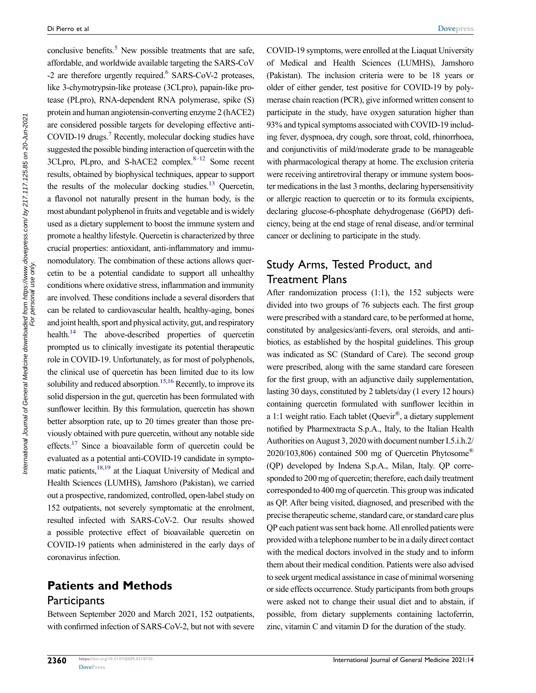<span id="page-1-4"></span><span id="page-1-3"></span><span id="page-1-2"></span><span id="page-1-1"></span><span id="page-1-0"></span>conclusive benefits.<sup>[5](#page-6-2)</sup> New possible treatments that are safe, affordable, and worldwide available targeting the SARS-CoV -2 are therefore urgently required.<sup>6</sup> SARS-CoV-2 proteases, like 3-chymotrypsin-like protease (3CLpro), papain-like protease (PLpro), RNA-dependent RNA polymerase, spike (S) protein and human angiotensin-converting enzyme 2 (hACE2) are considered possible targets for developing effective anti-COVID-19 drugs.[7](#page-6-4) Recently, molecular docking studies have suggested the possible binding interaction of quercetin with the  $3CL pro$ , PLpro, and S-hACE2 complex. $8-12$  Some recent results, obtained by biophysical techniques, appear to support the results of the molecular docking studies. $13$  Quercetin, a flavonol not naturally present in the human body, is the most abundant polyphenol in fruits and vegetable and is widely used as a dietary supplement to boost the immune system and promote a healthy lifestyle. Quercetin is characterized by three crucial properties: antioxidant, anti-inflammatory and immunomodulatory. The combination of these actions allows quercetin to be a potential candidate to support all unhealthy conditions where oxidative stress, inflammation and immunity are involved. These conditions include a several disorders that can be related to cardiovascular health, healthy-aging, bones and joint health, sport and physical activity, gut, and respiratory health.<sup>14</sup> The above-described properties of quercetin prompted us to clinically investigate its potential therapeutic role in COVID-19. Unfortunately, as for most of polyphenols, the clinical use of quercetin has been limited due to its low solubility and reduced absorption.<sup>[15](#page-6-8)[,16](#page-7-0)</sup> Recently, to improve its solid dispersion in the gut, quercetin has been formulated with sunflower lecithin. By this formulation, quercetin has shown better absorption rate, up to 20 times greater than those previously obtained with pure quercetin, without any notable side effects.<sup>17</sup> Since a bioavailable form of quercetin could be evaluated as a potential anti-COVID-19 candidate in sympto-matic patients,<sup>18[,19](#page-7-3)</sup> at the Liaquat University of Medical and Health Sciences (LUMHS), Jamshoro (Pakistan), we carried out a prospective, randomized, controlled, open-label study on 152 outpatients, not severely symptomatic at the enrolment, resulted infected with SARS-CoV-2. Our results showed a possible protective effect of bioavailable quercetin on COVID-19 patients when administered in the early days of coronavirus infection.

# <span id="page-1-8"></span><span id="page-1-7"></span><span id="page-1-6"></span>**Patients and Methods**

#### **Participants**

Between September 2020 and March 2021, 152 outpatients, with confirmed infection of SARS-CoV-2, but not with severe COVID-19 symptoms, were enrolled at the Liaquat University of Medical and Health Sciences (LUMHS), Jamshoro (Pakistan). The inclusion criteria were to be 18 years or older of either gender, test positive for COVID-19 by polymerase chain reaction (PCR), give informed written consent to participate in the study, have oxygen saturation higher than 93% and typical symptoms associated with COVID-19 including fever, dyspnoea, dry cough, sore throat, cold, rhinorrhoea, and conjunctivitis of mild/moderate grade to be manageable with pharmacological therapy at home. The exclusion criteria were receiving antiretroviral therapy or immune system booster medications in the last 3 months, declaring hypersensitivity or allergic reaction to quercetin or to its formula excipients, declaring glucose-6-phosphate dehydrogenase (G6PD) deficiency, being at the end stage of renal disease, and/or terminal cancer or declining to participate in the study.

## Study Arms, Tested Product, and Treatment Plans

<span id="page-1-5"></span>After randomization process (1:1), the 152 subjects were divided into two groups of 76 subjects each. The first group were prescribed with a standard care, to be performed at home, constituted by analgesics/anti-fevers, oral steroids, and antibiotics, as established by the hospital guidelines. This group was indicated as SC (Standard of Care). The second group were prescribed, along with the same standard care foreseen for the first group, with an adjunctive daily supplementation, lasting 30 days, constituted by 2 tablets/day (1 every 12 hours) containing quercetin formulated with sunflower lecithin in a 1:1 weight ratio. Each tablet (Quevir®, a dietary supplement notified by Pharmextracta S.p.A., Italy, to the Italian Health Authorities on August 3, 2020 with document number I.5.i.h.2/ 2020/103,806) contained 500 mg of Quercetin Phytosome® (QP) developed by Indena S.p.A., Milan, Italy. QP corresponded to 200 mg of quercetin; therefore, each daily treatment corresponded to 400 mg of quercetin. This group was indicated as QP. After being visited, diagnosed, and prescribed with the precise therapeutic scheme, standard care, or standard care plus QP each patient was sent back home. All enrolled patients were provided with a telephone number to be in a daily direct contact with the medical doctors involved in the study and to inform them about their medical condition. Patients were also advised to seek urgent medical assistance in case of minimal worsening or side effects occurrence. Study participants from both groups were asked not to change their usual diet and to abstain, if possible, from dietary supplements containing lactoferrin, zinc, vitamin C and vitamin D for the duration of the study.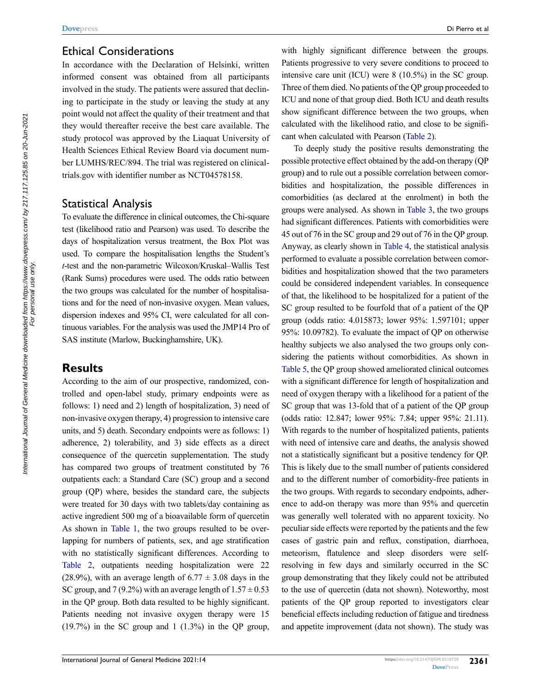### Ethical Considerations

In accordance with the Declaration of Helsinki, written informed consent was obtained from all participants involved in the study. The patients were assured that declining to participate in the study or leaving the study at any point would not affect the quality of their treatment and that they would thereafter receive the best care available. The study protocol was approved by the Liaquat University of Health Sciences Ethical Review Board via document number LUMHS/REC/894. The trial was registered on clinicaltrials.gov with identifier number as NCT04578158.

#### Statistical Analysis

To evaluate the difference in clinical outcomes, the Chi-square test (likelihood ratio and Pearson) was used. To describe the days of hospitalization versus treatment, the Box Plot was used. To compare the hospitalisation lengths the Student's *t*-test and the non-parametric Wilcoxon/Kruskal–Wallis Test (Rank Sums) procedures were used. The odds ratio between the two groups was calculated for the number of hospitalisations and for the need of non-invasive oxygen. Mean values, dispersion indexes and 95% CI, were calculated for all continuous variables. For the analysis was used the JMP14 Pro of SAS institute (Marlow, Buckinghamshire, UK).

## **Results**

According to the aim of our prospective, randomized, controlled and open-label study, primary endpoints were as follows: 1) need and 2) length of hospitalization, 3) need of non-invasive oxygen therapy, 4) progression to intensive care units, and 5) death. Secondary endpoints were as follows: 1) adherence, 2) tolerability, and 3) side effects as a direct consequence of the quercetin supplementation. The study has compared two groups of treatment constituted by 76 outpatients each: a Standard Care (SC) group and a second group (QP) where, besides the standard care, the subjects were treated for 30 days with two tablets/day containing as active ingredient 500 mg of a bioavailable form of quercetin As shown in [Table 1,](#page-3-0) the two groups resulted to be overlapping for numbers of patients, sex, and age stratification with no statistically significant differences. According to [Table 2,](#page-3-1) outpatients needing hospitalization were 22 (28.9%), with an average length of  $6.77 \pm 3.08$  days in the SC group, and 7 (9.2%) with an average length of  $1.57 \pm 0.53$ in the QP group. Both data resulted to be highly significant. Patients needing not invasive oxygen therapy were 15  $(19.7\%)$  in the SC group and 1  $(1.3\%)$  in the QP group,

with highly significant difference between the groups. Patients progressive to very severe conditions to proceed to intensive care unit (ICU) were 8 (10.5%) in the SC group. Three of them died. No patients of the QP group proceeded to ICU and none of that group died. Both ICU and death results show significant difference between the two groups, when calculated with the likelihood ratio, and close to be significant when calculated with Pearson ([Table 2](#page-3-1)).

To deeply study the positive results demonstrating the possible protective effect obtained by the add-on therapy (QP group) and to rule out a possible correlation between comorbidities and hospitalization, the possible differences in comorbidities (as declared at the enrolment) in both the groups were analysed. As shown in [Table 3](#page-4-0), the two groups had significant differences. Patients with comorbidities were 45 out of 76 in the SC group and 29 out of 76 in the QP group. Anyway, as clearly shown in [Table 4,](#page-4-1) the statistical analysis performed to evaluate a possible correlation between comorbidities and hospitalization showed that the two parameters could be considered independent variables. In consequence of that, the likelihood to be hospitalized for a patient of the SC group resulted to be fourfold that of a patient of the QP group (odds ratio: 4.015873; lower 95%: 1.597101; upper 95%: 10.09782). To evaluate the impact of QP on otherwise healthy subjects we also analysed the two groups only considering the patients without comorbidities. As shown in [Table 5,](#page-4-2) the QP group showed ameliorated clinical outcomes with a significant difference for length of hospitalization and need of oxygen therapy with a likelihood for a patient of the SC group that was 13-fold that of a patient of the QP group (odds ratio: 12.847; lower 95%: 7.84; upper 95%: 21.11). With regards to the number of hospitalized patients, patients with need of intensive care and deaths, the analysis showed not a statistically significant but a positive tendency for QP. This is likely due to the small number of patients considered and to the different number of comorbidity-free patients in the two groups. With regards to secondary endpoints, adherence to add-on therapy was more than 95% and quercetin was generally well tolerated with no apparent toxicity. No peculiar side effects were reported by the patients and the few cases of gastric pain and reflux, constipation, diarrhoea, meteorism, flatulence and sleep disorders were selfresolving in few days and similarly occurred in the SC group demonstrating that they likely could not be attributed to the use of quercetin (data not shown). Noteworthy, most patients of the QP group reported to investigators clear beneficial effects including reduction of fatigue and tiredness and appetite improvement (data not shown). The study was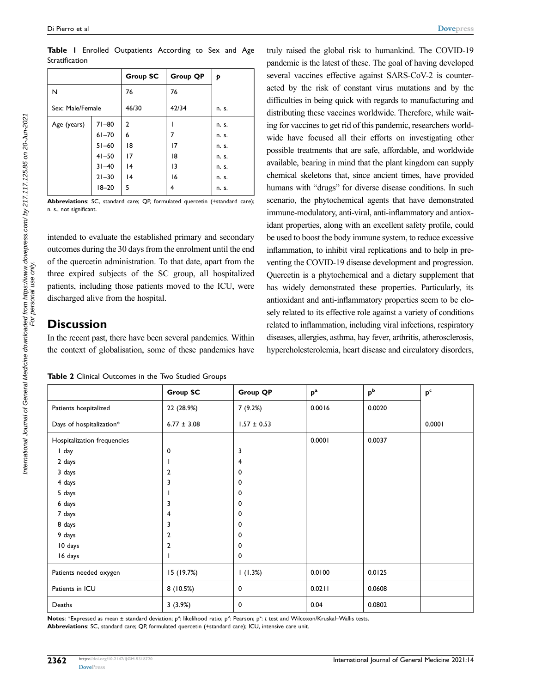|                  |                                                               | Group SC                 | Group QP       | Þ                                         |
|------------------|---------------------------------------------------------------|--------------------------|----------------|-------------------------------------------|
| N                |                                                               | 76                       | 76             |                                           |
| Sex: Male/Female |                                                               | 46/30                    | 42/34          | n. s.                                     |
| Age (years)      | $71 - 80$<br>$61 - 70$<br>$51 - 60$<br>$41 - 50$<br>$31 - 40$ | 2<br>6<br>18<br>17<br> 4 | 17<br>18<br> 3 | n. s.<br>n. s.<br>n. s.<br>n. s.<br>n. s. |
|                  | $21 - 30$<br>$18 - 20$                                        | 4<br>5                   | 16<br>4        | n. s.<br>n. s.                            |

<span id="page-3-0"></span>**Table 1** Enrolled Outpatients According to Sex and Age Stratification

**Abbreviations**: SC, standard care; QP, formulated quercetin (+standard care); n. s., not significant.

intended to evaluate the established primary and secondary outcomes during the 30 days from the enrolment until the end of the quercetin administration. To that date, apart from the three expired subjects of the SC group, all hospitalized patients, including those patients moved to the ICU, were discharged alive from the hospital.

## **Discussion**

In the recent past, there have been several pandemics. Within the context of globalisation, some of these pandemics have

<span id="page-3-1"></span>

|  |  | Table 2 Clinical Outcomes in the Two Studied Groups |  |  |  |  |  |
|--|--|-----------------------------------------------------|--|--|--|--|--|
|--|--|-----------------------------------------------------|--|--|--|--|--|

truly raised the global risk to humankind. The COVID-19 pandemic is the latest of these. The goal of having developed several vaccines effective against SARS-CoV-2 is counteracted by the risk of constant virus mutations and by the difficulties in being quick with regards to manufacturing and distributing these vaccines worldwide. Therefore, while waiting for vaccines to get rid of this pandemic, researchers worldwide have focused all their efforts on investigating other possible treatments that are safe, affordable, and worldwide available, bearing in mind that the plant kingdom can supply chemical skeletons that, since ancient times, have provided humans with "drugs" for diverse disease conditions. In such scenario, the phytochemical agents that have demonstrated immune-modulatory, anti-viral, anti-inflammatory and antioxidant properties, along with an excellent safety profile, could be used to boost the body immune system, to reduce excessive inflammation, to inhibit viral replications and to help in preventing the COVID-19 disease development and progression. Quercetin is a phytochemical and a dietary supplement that has widely demonstrated these properties. Particularly, its antioxidant and anti-inflammatory properties seem to be closely related to its effective role against a variety of conditions related to inflammation, including viral infections, respiratory diseases, allergies, asthma, hay fever, arthritis, atherosclerosis, hypercholesterolemia, heart disease and circulatory disorders,

|                             | <b>Group SC</b> | <b>Group QP</b> | $p^a$  | p <sup>b</sup> | $\mathbf{p}^{\mathrm{c}}$ |
|-----------------------------|-----------------|-----------------|--------|----------------|---------------------------|
| Patients hospitalized       | 22 (28.9%)      | 7(9.2%)         | 0.0016 | 0.0020         |                           |
| Days of hospitalization*    | $6.77 \pm 3.08$ | $1.57 \pm 0.53$ |        |                | 0.0001                    |
| Hospitalization frequencies |                 |                 | 0.0001 | 0.0037         |                           |
| I day                       | 0               | 3               |        |                |                           |
| 2 days                      |                 | 4               |        |                |                           |
| 3 days                      | $\overline{2}$  | 0               |        |                |                           |
| 4 days                      | 3               | 0               |        |                |                           |
| 5 days                      |                 | 0               |        |                |                           |
| 6 days                      | 3               | 0               |        |                |                           |
| 7 days                      | 4               | 0               |        |                |                           |
| 8 days                      | 3               | 0               |        |                |                           |
| 9 days                      | $\overline{2}$  | 0               |        |                |                           |
| 10 days                     | $\overline{2}$  | 0               |        |                |                           |
| 16 days                     |                 | $\mathbf 0$     |        |                |                           |
| Patients needed oxygen      | 15 (19.7%)      | 1(1.3%)         | 0.0100 | 0.0125         |                           |
| Patients in ICU             | 8(10.5%)        | 0               | 0.0211 | 0.0608         |                           |
| Deaths                      | 3(3.9%)         | 0               | 0.04   | 0.0802         |                           |

**Notes**: \*Expressed as mean ± standard deviation; p<sup>a</sup>: likelihood ratio; p<sup>b</sup>: Pearson; p<sup>c</sup>: *t* test and Wilcoxon/Kruskal–Wallis tests. **Abbreviations**: SC, standard care; QP, formulated quercetin (+standard care); ICU, intensive care unit.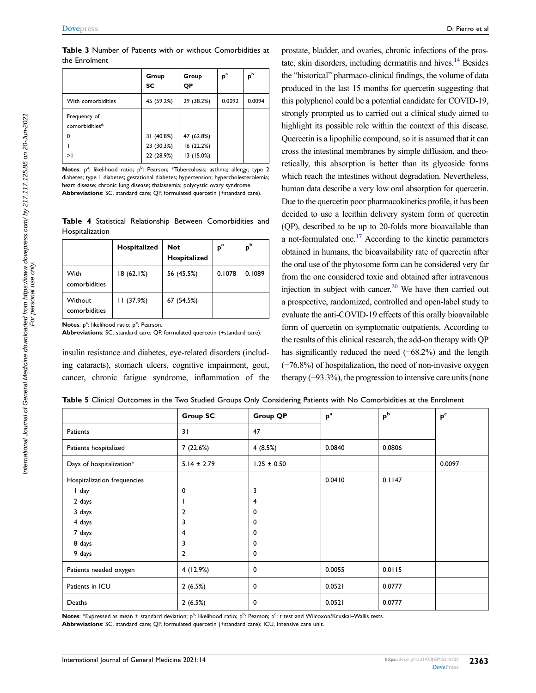<span id="page-4-0"></span>**Table 3** Number of Patients with or without Comorbidities at the Enrolment

|                                | Group<br><b>SC</b> | Group<br>QP | $\boldsymbol{\mathsf{p}}^{\mathrm{a}}$ | $\mathsf{p}^{\mathsf{b}}$ |
|--------------------------------|--------------------|-------------|----------------------------------------|---------------------------|
| With comorbidities             | 45 (59.2%)         | 29 (38.2%)  | 0.0092                                 | 0.0094                    |
| Frequency of<br>comorbidities* |                    |             |                                        |                           |
| 0                              | 31 (40.8%)         | 47 (62.8%)  |                                        |                           |
|                                | 23 (30.3%)         | 16 (22.2%)  |                                        |                           |
| >I                             | 22 (28.9%)         | 13 (15.0%)  |                                        |                           |

Notes: p<sup>a</sup>: likelihood ratio; p<sup>b</sup>: Pearson; \*Tuberculosis; asthma; allergy; type 2 diabetes; type 1 diabetes; gestational diabetes; hypertension; hypercholesterolemia; heart disease; chronic lung disease; thalassemia; polycystic ovary syndrome. **Abbreviations**: SC, standard care; QP, formulated quercetin (+standard care).

<span id="page-4-1"></span>**Table 4** Statistical Relationship Between Comorbidities and Hospitalization

|                          | Hospitalized | <b>Not</b><br>Hospitalized | $p^a$  | p <sub>b</sub> |
|--------------------------|--------------|----------------------------|--------|----------------|
| With<br>comorbidities    | 18(62.1%)    | 56 (45.5%)                 | 0.1078 | 0.1089         |
| Without<br>comorbidities | 11(37.9%)    | 67 (54.5%)                 |        |                |

<span id="page-4-3"></span>**Notes**: p<sup>a</sup>: likelihood ratio; p<sup>b</sup>: Pearson.

**Abbreviations**: SC, standard care; QP, formulated quercetin (+standard care).

insulin resistance and diabetes, eye-related disorders (including cataracts), stomach ulcers, cognitive impairment, gout, cancer, chronic fatigue syndrome, inflammation of the

prostate, bladder, and ovaries, chronic infections of the prostate, skin disorders, including dermatitis and hives. $14$  Besides the "historical" pharmaco-clinical findings, the volume of data produced in the last 15 months for quercetin suggesting that this polyphenol could be a potential candidate for COVID-19, strongly prompted us to carried out a clinical study aimed to highlight its possible role within the context of this disease. Quercetin is a lipophilic compound, so it is assumed that it can cross the intestinal membranes by simple diffusion, and theoretically, this absorption is better than its glycoside forms which reach the intestines without degradation. Nevertheless, human data describe a very low oral absorption for quercetin. Due to the quercetin poor pharmacokinetics profile, it has been decided to use a lecithin delivery system form of quercetin (QP), described to be up to 20-folds more bioavailable than a not-formulated one.<sup>17</sup> According to the kinetic parameters obtained in humans, the bioavailability rate of quercetin after the oral use of the phytosome form can be considered very far from the one considered toxic and obtained after intravenous injection in subject with cancer. [20](#page-7-4) We have then carried out a prospective, randomized, controlled and open-label study to evaluate the anti-COVID-19 effects of this orally bioavailable form of quercetin on symptomatic outpatients. According to the results of this clinical research, the add-on therapy with QP has significantly reduced the need (−68.2%) and the length (−76.8%) of hospitalization, the need of non-invasive oxygen therapy (−93.3%), the progression to intensive care units (none

<span id="page-4-2"></span>**Table 5** Clinical Outcomes in the Two Studied Groups Only Considering Patients with No Comorbidities at the Enrolment

|                             | <b>Group SC</b> | <b>Group QP</b> | $p^a$  | $p^b$  | p <sup>c</sup> |
|-----------------------------|-----------------|-----------------|--------|--------|----------------|
| Patients                    | 31              | 47              |        |        |                |
| Patients hospitalized       | 7 (22.6%)       | 4(8.5%)         | 0.0840 | 0.0806 |                |
| Days of hospitalization*    | $5.14 \pm 2.79$ | $1.25 \pm 0.50$ |        |        | 0.0097         |
| Hospitalization frequencies |                 |                 | 0.0410 | 0.1147 |                |
| I day                       | 0               | 3               |        |        |                |
| 2 days                      |                 | 4               |        |        |                |
| 3 days                      | $\overline{2}$  | 0               |        |        |                |
| 4 days                      | 3               | 0               |        |        |                |
| 7 days                      | 4               | 0               |        |        |                |
| 8 days                      | 3               | 0               |        |        |                |
| 9 days                      | $\overline{2}$  | 0               |        |        |                |
| Patients needed oxygen      | 4 (12.9%)       | 0               | 0.0055 | 0.0115 |                |
| Patients in ICU             | 2(6.5%)         | 0               | 0.0521 | 0.0777 |                |
| Deaths                      | 2(6.5%)         | 0               | 0.0521 | 0.0777 |                |

**Notes**: \*Expressed as mean ± standard deviation; p<sup>a</sup>: likelihood ratio; p<sup>b</sup>: Pearson; p<sup>c</sup>: *t* test and Wilcoxon/Kruskal–Wallis tests. **Abbreviations**: SC, standard care; QP, formulated quercetin (+standard care); ICU, intensive care unit.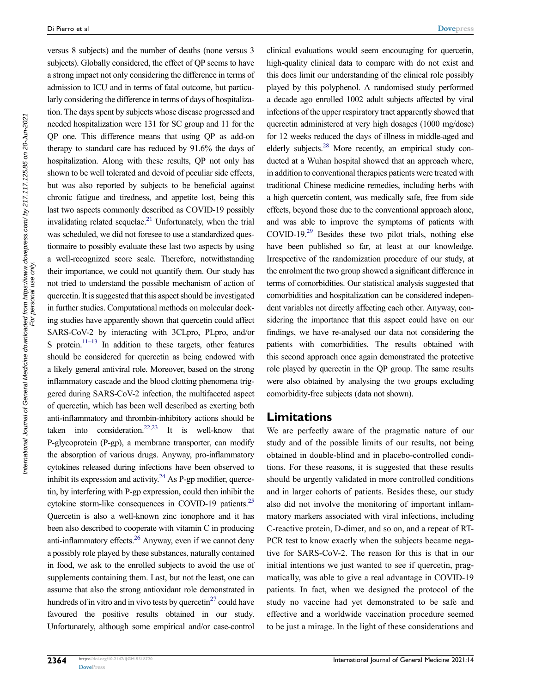versus 8 subjects) and the number of deaths (none versus 3 subjects). Globally considered, the effect of QP seems to have a strong impact not only considering the difference in terms of admission to ICU and in terms of fatal outcome, but particularly considering the difference in terms of days of hospitalization. The days spent by subjects whose disease progressed and needed hospitalization were 131 for SC group and 11 for the QP one. This difference means that using QP as add-on therapy to standard care has reduced by 91.6% the days of hospitalization. Along with these results, QP not only has shown to be well tolerated and devoid of peculiar side effects, but was also reported by subjects to be beneficial against chronic fatigue and tiredness, and appetite lost, being this last two aspects commonly described as COVID-19 possibly invalidating related sequelae.<sup>21</sup> Unfortunately, when the trial was scheduled, we did not foresee to use a standardized questionnaire to possibly evaluate these last two aspects by using a well-recognized score scale. Therefore, notwithstanding their importance, we could not quantify them. Our study has not tried to understand the possible mechanism of action of quercetin. It is suggested that this aspect should be investigated in further studies. Computational methods on molecular docking studies have apparently shown that quercetin could affect SARS-CoV-2 by interacting with 3CLpro, PLpro, and/or S protein.<sup>[11–13](#page-6-9)</sup> In addition to these targets, other features should be considered for quercetin as being endowed with a likely general antiviral role. Moreover, based on the strong inflammatory cascade and the blood clotting phenomena triggered during SARS-CoV-2 infection, the multifaceted aspect of quercetin, which has been well described as exerting both anti-inflammatory and thrombin-inhibitory actions should be taken into consideration.<sup>22[,23](#page-7-7)</sup> It is well-know that P-glycoprotein (P-gp), a membrane transporter, can modify the absorption of various drugs. Anyway, pro-inflammatory cytokines released during infections have been observed to inhibit its expression and activity. $24$  As P-gp modifier, quercetin, by interfering with P-gp expression, could then inhibit the cytokine storm-like consequences in COVID-19 patients.<sup>25</sup> Quercetin is also a well-known zinc ionophore and it has been also described to cooperate with vitamin C in producing anti-inflammatory effects[.26](#page-7-10) Anyway, even if we cannot deny a possibly role played by these substances, naturally contained in food, we ask to the enrolled subjects to avoid the use of supplements containing them. Last, but not the least, one can assume that also the strong antioxidant role demonstrated in hundreds of in vitro and in vivo tests by quercetin $^{27}$  could have favoured the positive results obtained in our study. Unfortunately, although some empirical and/or case-control

<span id="page-5-8"></span><span id="page-5-7"></span>clinical evaluations would seem encouraging for quercetin, high-quality clinical data to compare with do not exist and this does limit our understanding of the clinical role possibly played by this polyphenol. A randomised study performed a decade ago enrolled 1002 adult subjects affected by viral infections of the upper respiratory tract apparently showed that quercetin administered at very high dosages (1000 mg/dose) for 12 weeks reduced the days of illness in middle-aged and elderly subjects.<sup>28</sup> More recently, an empirical study conducted at a Wuhan hospital showed that an approach where, in addition to conventional therapies patients were treated with traditional Chinese medicine remedies, including herbs with a high quercetin content, was medically safe, free from side effects, beyond those due to the conventional approach alone, and was able to improve the symptoms of patients with COVID-19[.29](#page-7-13) Besides these two pilot trials, nothing else have been published so far, at least at our knowledge. Irrespective of the randomization procedure of our study, at the enrolment the two group showed a significant difference in terms of comorbidities. Our statistical analysis suggested that comorbidities and hospitalization can be considered independent variables not directly affecting each other. Anyway, considering the importance that this aspect could have on our findings, we have re-analysed our data not considering the patients with comorbidities. The results obtained with this second approach once again demonstrated the protective role played by quercetin in the QP group. The same results were also obtained by analysing the two groups excluding comorbidity-free subjects (data not shown).

#### **Limitations**

<span id="page-5-6"></span><span id="page-5-5"></span><span id="page-5-4"></span><span id="page-5-3"></span><span id="page-5-2"></span>We are perfectly aware of the pragmatic nature of our study and of the possible limits of our results, not being obtained in double-blind and in placebo-controlled conditions. For these reasons, it is suggested that these results should be urgently validated in more controlled conditions and in larger cohorts of patients. Besides these, our study also did not involve the monitoring of important inflammatory markers associated with viral infections, including C-reactive protein, D-dimer, and so on, and a repeat of RT-PCR test to know exactly when the subjects became negative for SARS-CoV-2. The reason for this is that in our initial intentions we just wanted to see if quercetin, pragmatically, was able to give a real advantage in COVID-19 patients. In fact, when we designed the protocol of the study no vaccine had yet demonstrated to be safe and effective and a worldwide vaccination procedure seemed to be just a mirage. In the light of these considerations and

<span id="page-5-1"></span><span id="page-5-0"></span>International Journal of General Medicine downloaded from https://www.dovepress.com/ by 217.117.125.85 on 20-Jun-2021 For personal use only.

nternational Journal of General Medicine downloaded from https://www.dovepress.com/ by 217.117.125.85 on 20-Jun-2021<br>For personal use only.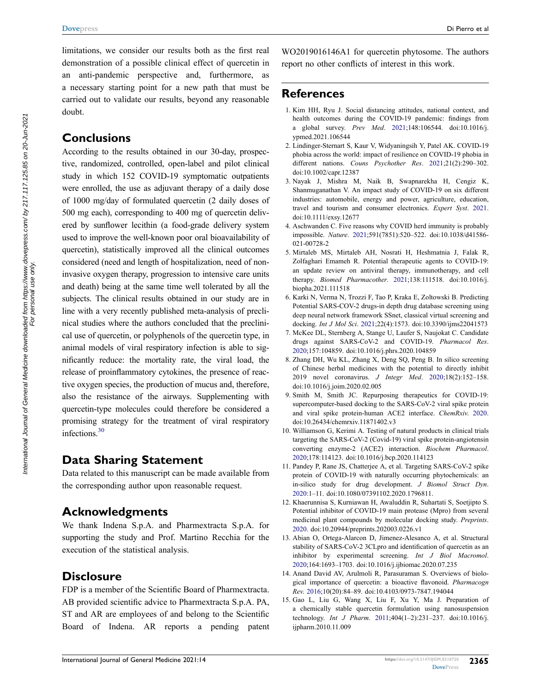limitations, we consider our results both as the first real demonstration of a possible clinical effect of quercetin in an anti-pandemic perspective and, furthermore, as a necessary starting point for a new path that must be carried out to validate our results, beyond any reasonable doubt.

#### **Conclusions**

According to the results obtained in our 30-day, prospective, randomized, controlled, open-label and pilot clinical study in which 152 COVID-19 symptomatic outpatients were enrolled, the use as adjuvant therapy of a daily dose of 1000 mg/day of formulated quercetin (2 daily doses of 500 mg each), corresponding to 400 mg of quercetin delivered by sunflower lecithin (a food-grade delivery system used to improve the well-known poor oral bioavailability of quercetin), statistically improved all the clinical outcomes considered (need and length of hospitalization, need of noninvasive oxygen therapy, progression to intensive care units and death) being at the same time well tolerated by all the subjects. The clinical results obtained in our study are in line with a very recently published meta-analysis of preclinical studies where the authors concluded that the preclinical use of quercetin, or polyphenols of the quercetin type, in animal models of viral respiratory infection is able to significantly reduce: the mortality rate, the viral load, the release of proinflammatory cytokines, the presence of reactive oxygen species, the production of mucus and, therefore, also the resistance of the airways. Supplementing with quercetin-type molecules could therefore be considered a promising strategy for the treatment of viral respiratory infections.[30](#page-7-14)

## <span id="page-6-10"></span>**Data Sharing Statement**

Data related to this manuscript can be made available from the corresponding author upon reasonable request.

## **Acknowledgments**

We thank Indena S.p.A. and Pharmextracta S.p.A. for supporting the study and Prof. Martino Recchia for the execution of the statistical analysis.

### **Disclosure**

FDP is a member of the Scientific Board of Pharmextracta. AB provided scientific advice to Pharmextracta S.p.A. PA, ST and AR are employees of and belong to the Scientific Board of Indena. AR reports a pending patent WO2019016146A1 for quercetin phytosome. The authors report no other conflicts of interest in this work.

## **References**

- <span id="page-6-0"></span>1. Kim HH, Ryu J. Social distancing attitudes, national context, and health outcomes during the COVID-19 pandemic: findings from a global survey. *Prev Med*. [2021;](#page-0-14)148:106544. doi:[10.1016/j.](https://doi.org/10.1016/j.ypmed.2021.106544) [ypmed.2021.106544](https://doi.org/10.1016/j.ypmed.2021.106544)
- 2. Lindinger-Sternart S, Kaur V, Widyaningsih Y, Patel AK. COVID-19 phobia across the world: impact of resilience on COVID-19 phobia in different nations. *Couns Psychother Res*. 2021;21(2):290–302. doi:[10.1002/capr.12387](https://doi.org/10.1002/capr.12387)
- 3. Nayak J, Mishra M, Naik B, Swapnarekha H, Cengiz K, Shanmuganathan V. An impact study of COVID-19 on six different industries: automobile, energy and power, agriculture, education, travel and tourism and consumer electronics. *Expert Syst*. 2021. doi:[10.1111/exsy.12677](https://doi.org/10.1111/exsy.12677)
- <span id="page-6-1"></span>4. Aschwanden C. Five reasons why COVID herd immunity is probably impossible. *Nature*. [2021](#page-0-15);591(7851):520–522. doi:[10.1038/d41586-](https://doi.org/10.1038/d41586-021-00728-2) [021-00728-2](https://doi.org/10.1038/d41586-021-00728-2)
- <span id="page-6-2"></span>5. Mirtaleb MS, Mirtaleb AH, Nosrati H, Heshmatnia J, Falak R, Zolfaghari Emameh R. Potential therapeutic agents to COVID-19: an update review on antiviral therapy, immunotherapy, and cell therapy. *Biomed Pharmacother*. [2021;](#page-1-0)138:111518. doi:[10.1016/j.](https://doi.org/10.1016/j.biopha.2021.111518) [biopha.2021.111518](https://doi.org/10.1016/j.biopha.2021.111518)
- <span id="page-6-3"></span>6. Karki N, Verma N, Trozzi F, Tao P, Kraka E, Zoltowski B. Predicting Potential SARS-COV-2 drugs-in depth drug database screening using deep neural network framework SSnet, classical virtual screening and docking. *Int J Mol Sci*. [2021](#page-1-1);22(4):1573. doi:[10.3390/ijms22041573](https://doi.org/10.3390/ijms22041573)
- <span id="page-6-4"></span>7. McKee DL, Sternberg A, Stange U, Laufer S, Naujokat C. Candidate drugs against SARS-CoV-2 and COVID-19. *Pharmacol Res*. [2020](#page-1-2);157:104859. doi:[10.1016/j.phrs.2020.104859](https://doi.org/10.1016/j.phrs.2020.104859)
- <span id="page-6-5"></span>8. Zhang DH, Wu KL, Zhang X, Deng SQ, Peng B. In silico screening of Chinese herbal medicines with the potential to directly inhibit 2019 novel coronavirus. *J Integr Med*. [2020;](#page-1-3)18(2):152–158. doi:[10.1016/j.joim.2020.02.005](https://doi.org/10.1016/j.joim.2020.02.005)
- 9. Smith M, Smith JC. Repurposing therapeutics for COVID-19: supercomputer-based docking to the SARS-CoV-2 viral spike protein and viral spike protein-human ACE2 interface. *ChemRxiv*. 2020. doi:[10.26434/chemrxiv.11871402.v3](https://doi.org/10.26434/chemrxiv.11871402.v3)
- 10. Williamson G, Kerimi A. Testing of natural products in clinical trials targeting the SARS-CoV-2 (Covid-19) viral spike protein-angiotensin converting enzyme-2 (ACE2) interaction. *Biochem Pharmacol*. 2020;178:114123. doi:[10.1016/j.bcp.2020.114123](https://doi.org/10.1016/j.bcp.2020.114123)
- <span id="page-6-9"></span>11. Pandey P, Rane JS, Chatterjee A, et al. Targeting SARS-CoV-2 spike protein of COVID-19 with naturally occurring phytochemicals: an in-silico study for drug development. *J Biomol Struct Dyn*. [2020](#page-5-0):1–11. doi:[10.1080/07391102.2020.1796811](https://doi.org/10.1080/07391102.2020.1796811).
- 12. Khaerunnisa S, Kurniawan H, Awaluddin R, Suhartati S, Soetjipto S. Potential inhibitor of COVID-19 main protease (Mpro) from several medicinal plant compounds by molecular docking study. *Preprints*. 2020. doi:[10.20944/preprints.202003.0226.v1](https://doi.org/10.20944/preprints.202003.0226.v1)
- <span id="page-6-6"></span>13. Abian O, Ortega-Alarcon D, Jimenez-Alesanco A, et al. Structural stability of SARS-CoV-2 3CLpro and identification of quercetin as an inhibitor by experimental screening. *Int J Biol Macromol*. [2020](#page-1-4);164:1693–1703. doi:[10.1016/j.ijbiomac.2020.07.235](https://doi.org/10.1016/j.ijbiomac.2020.07.235)
- <span id="page-6-7"></span>14. Anand David AV, Arulmoli R, Parasuraman S. Overviews of biological importance of quercetin: a bioactive flavonoid. *Pharmacogn Rev*. [2016;](#page-1-5)10(20):84–89. doi:[10.4103/0973-7847.194044](https://doi.org/10.4103/0973-7847.194044)
- <span id="page-6-8"></span>15. Gao L, Liu G, Wang X, Liu F, Xu Y, Ma J. Preparation of a chemically stable quercetin formulation using nanosuspension technology. *Int J Pharm*. [2011](#page-1-6);404(1–2):231–237. doi:[10.1016/j.](https://doi.org/10.1016/j.ijpharm.2010.11.009) [ijpharm.2010.11.009](https://doi.org/10.1016/j.ijpharm.2010.11.009)